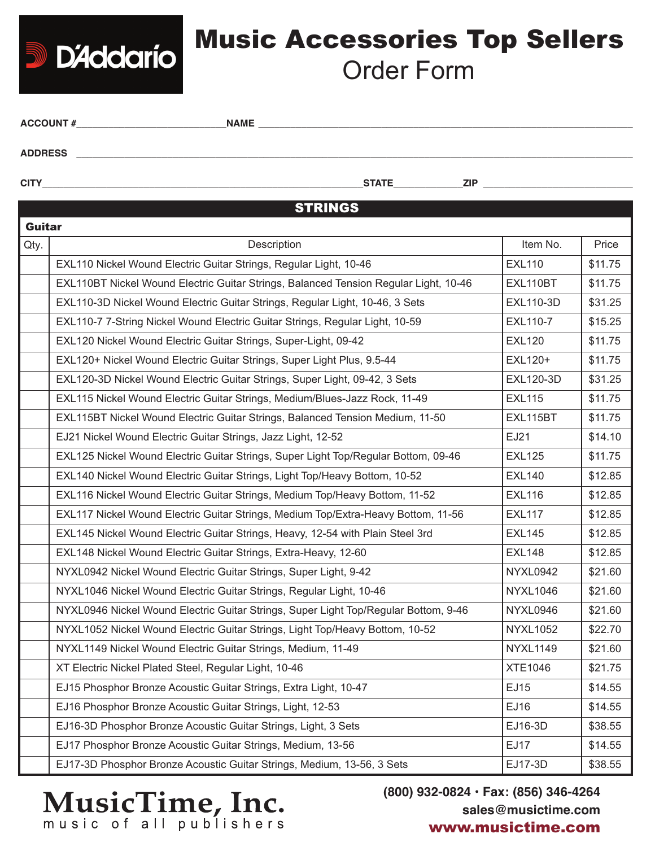## Music Accessories Top Sellers Order Form

| <b>ACCOUNT#</b> | <b>NAME</b>                |  |  |  |  |
|-----------------|----------------------------|--|--|--|--|
| <b>ADDRESS</b>  |                            |  |  |  |  |
| <b>CITY</b>     | <b>STATE</b><br><b>ZIP</b> |  |  |  |  |
| <b>STRINGS</b>  |                            |  |  |  |  |

|      | <b>Guitar</b>                                                                        |                  |         |  |  |  |  |
|------|--------------------------------------------------------------------------------------|------------------|---------|--|--|--|--|
| Qty. | Description                                                                          | Item No.         | Price   |  |  |  |  |
|      | EXL110 Nickel Wound Electric Guitar Strings, Regular Light, 10-46                    | <b>EXL110</b>    | \$11.75 |  |  |  |  |
|      | EXL110BT Nickel Wound Electric Guitar Strings, Balanced Tension Regular Light, 10-46 | EXL110BT         | \$11.75 |  |  |  |  |
|      | EXL110-3D Nickel Wound Electric Guitar Strings, Regular Light, 10-46, 3 Sets         | EXL110-3D        | \$31.25 |  |  |  |  |
|      | EXL110-7 7-String Nickel Wound Electric Guitar Strings, Regular Light, 10-59         | <b>EXL110-7</b>  | \$15.25 |  |  |  |  |
|      | EXL120 Nickel Wound Electric Guitar Strings, Super-Light, 09-42                      | <b>EXL120</b>    | \$11.75 |  |  |  |  |
|      | EXL120+ Nickel Wound Electric Guitar Strings, Super Light Plus, 9.5-44               | EXL120+          | \$11.75 |  |  |  |  |
|      | EXL120-3D Nickel Wound Electric Guitar Strings, Super Light, 09-42, 3 Sets           | <b>EXL120-3D</b> | \$31.25 |  |  |  |  |
|      | EXL115 Nickel Wound Electric Guitar Strings, Medium/Blues-Jazz Rock, 11-49           | <b>EXL115</b>    | \$11.75 |  |  |  |  |
|      | EXL115BT Nickel Wound Electric Guitar Strings, Balanced Tension Medium, 11-50        | EXL115BT         | \$11.75 |  |  |  |  |
|      | EJ21 Nickel Wound Electric Guitar Strings, Jazz Light, 12-52                         | EJ21             | \$14.10 |  |  |  |  |
|      | EXL125 Nickel Wound Electric Guitar Strings, Super Light Top/Regular Bottom, 09-46   | <b>EXL125</b>    | \$11.75 |  |  |  |  |
|      | EXL140 Nickel Wound Electric Guitar Strings, Light Top/Heavy Bottom, 10-52           | <b>EXL140</b>    | \$12.85 |  |  |  |  |
|      | EXL116 Nickel Wound Electric Guitar Strings, Medium Top/Heavy Bottom, 11-52          | <b>EXL116</b>    | \$12.85 |  |  |  |  |
|      | EXL117 Nickel Wound Electric Guitar Strings, Medium Top/Extra-Heavy Bottom, 11-56    | <b>EXL117</b>    | \$12.85 |  |  |  |  |
|      | EXL145 Nickel Wound Electric Guitar Strings, Heavy, 12-54 with Plain Steel 3rd       | <b>EXL145</b>    | \$12.85 |  |  |  |  |
|      | EXL148 Nickel Wound Electric Guitar Strings, Extra-Heavy, 12-60                      | <b>EXL148</b>    | \$12.85 |  |  |  |  |
|      | NYXL0942 Nickel Wound Electric Guitar Strings, Super Light, 9-42                     | NYXL0942         | \$21.60 |  |  |  |  |
|      | NYXL1046 Nickel Wound Electric Guitar Strings, Regular Light, 10-46                  | <b>NYXL1046</b>  | \$21.60 |  |  |  |  |
|      | NYXL0946 Nickel Wound Electric Guitar Strings, Super Light Top/Regular Bottom, 9-46  | NYXL0946         | \$21.60 |  |  |  |  |
|      | NYXL1052 Nickel Wound Electric Guitar Strings, Light Top/Heavy Bottom, 10-52         | <b>NYXL1052</b>  | \$22.70 |  |  |  |  |
|      | NYXL1149 Nickel Wound Electric Guitar Strings, Medium, 11-49                         | <b>NYXL1149</b>  | \$21.60 |  |  |  |  |
|      | XT Electric Nickel Plated Steel, Regular Light, 10-46                                | <b>XTE1046</b>   | \$21.75 |  |  |  |  |
|      | EJ15 Phosphor Bronze Acoustic Guitar Strings, Extra Light, 10-47                     | EJ15             | \$14.55 |  |  |  |  |
|      | EJ16 Phosphor Bronze Acoustic Guitar Strings, Light, 12-53                           | EJ16             | \$14.55 |  |  |  |  |
|      | EJ16-3D Phosphor Bronze Acoustic Guitar Strings, Light, 3 Sets                       | EJ16-3D          | \$38.55 |  |  |  |  |
|      | EJ17 Phosphor Bronze Acoustic Guitar Strings, Medium, 13-56                          | <b>EJ17</b>      | \$14.55 |  |  |  |  |
|      | EJ17-3D Phosphor Bronze Acoustic Guitar Strings, Medium, 13-56, 3 Sets               | EJ17-3D          | \$38.55 |  |  |  |  |

Music of all publishers

**D'Addario** 

**(800) 932-0824 • Fax: (856) 346-4264 sales@musictime.com** www.musictime.com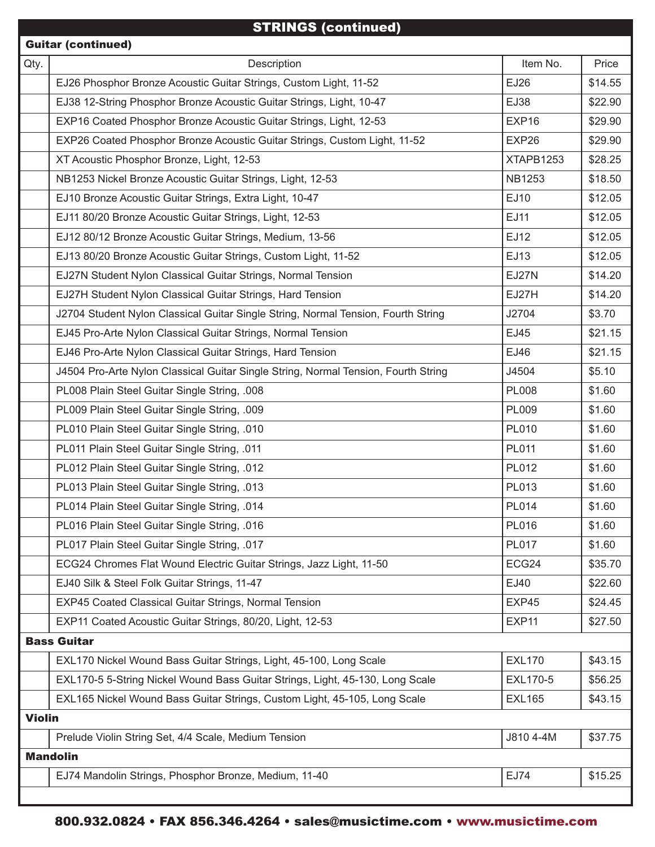## STRINGS (continued)

| <b>Guitar (continued)</b> |                                                                                    |                 |         |  |  |
|---------------------------|------------------------------------------------------------------------------------|-----------------|---------|--|--|
| Qty.                      | Description                                                                        | Item No.        | Price   |  |  |
|                           | EJ26 Phosphor Bronze Acoustic Guitar Strings, Custom Light, 11-52                  | EJ26            | \$14.55 |  |  |
|                           | EJ38 12-String Phosphor Bronze Acoustic Guitar Strings, Light, 10-47               | EJ38            | \$22.90 |  |  |
|                           | EXP16 Coated Phosphor Bronze Acoustic Guitar Strings, Light, 12-53                 | EXP16           | \$29.90 |  |  |
|                           | EXP26 Coated Phosphor Bronze Acoustic Guitar Strings, Custom Light, 11-52          | EXP26           | \$29.90 |  |  |
|                           | XT Acoustic Phosphor Bronze, Light, 12-53                                          | XTAPB1253       | \$28.25 |  |  |
|                           | NB1253 Nickel Bronze Acoustic Guitar Strings, Light, 12-53                         | <b>NB1253</b>   | \$18.50 |  |  |
|                           | EJ10 Bronze Acoustic Guitar Strings, Extra Light, 10-47                            | EJ10            | \$12.05 |  |  |
|                           | EJ11 80/20 Bronze Acoustic Guitar Strings, Light, 12-53                            | EJ11            | \$12.05 |  |  |
|                           | EJ12 80/12 Bronze Acoustic Guitar Strings, Medium, 13-56                           | EJ12            | \$12.05 |  |  |
|                           | EJ13 80/20 Bronze Acoustic Guitar Strings, Custom Light, 11-52                     | EJ13            | \$12.05 |  |  |
|                           | EJ27N Student Nylon Classical Guitar Strings, Normal Tension                       | EJ27N           | \$14.20 |  |  |
|                           | EJ27H Student Nylon Classical Guitar Strings, Hard Tension                         | EJ27H           | \$14.20 |  |  |
|                           | J2704 Student Nylon Classical Guitar Single String, Normal Tension, Fourth String  | J2704           | \$3.70  |  |  |
|                           | EJ45 Pro-Arte Nylon Classical Guitar Strings, Normal Tension                       | EJ45            | \$21.15 |  |  |
|                           | EJ46 Pro-Arte Nylon Classical Guitar Strings, Hard Tension                         | EJ46            | \$21.15 |  |  |
|                           | J4504 Pro-Arte Nylon Classical Guitar Single String, Normal Tension, Fourth String | J4504           | \$5.10  |  |  |
|                           | PL008 Plain Steel Guitar Single String, .008                                       | <b>PL008</b>    | \$1.60  |  |  |
|                           | PL009 Plain Steel Guitar Single String, .009                                       | PL009           | \$1.60  |  |  |
|                           | PL010 Plain Steel Guitar Single String, .010                                       | <b>PL010</b>    | \$1.60  |  |  |
|                           | PL011 Plain Steel Guitar Single String, .011                                       | <b>PL011</b>    | \$1.60  |  |  |
|                           | PL012 Plain Steel Guitar Single String, .012                                       | PL012           | \$1.60  |  |  |
|                           | PL013 Plain Steel Guitar Single String, .013                                       | PL013           | \$1.60  |  |  |
|                           | PL014 Plain Steel Guitar Single String, .014                                       | <b>PL014</b>    | \$1.60  |  |  |
|                           | PL016 Plain Steel Guitar Single String, .016                                       | <b>PL016</b>    | \$1.60  |  |  |
|                           | PL017 Plain Steel Guitar Single String, .017                                       | <b>PL017</b>    | \$1.60  |  |  |
|                           | ECG24 Chromes Flat Wound Electric Guitar Strings, Jazz Light, 11-50                | ECG24           | \$35.70 |  |  |
|                           | EJ40 Silk & Steel Folk Guitar Strings, 11-47                                       | EJ40            | \$22.60 |  |  |
|                           | EXP45 Coated Classical Guitar Strings, Normal Tension                              | EXP45           | \$24.45 |  |  |
|                           | EXP11 Coated Acoustic Guitar Strings, 80/20, Light, 12-53                          | EXP11           | \$27.50 |  |  |
|                           | <b>Bass Guitar</b>                                                                 |                 |         |  |  |
|                           | EXL170 Nickel Wound Bass Guitar Strings, Light, 45-100, Long Scale                 | <b>EXL170</b>   | \$43.15 |  |  |
|                           | EXL170-5 5-String Nickel Wound Bass Guitar Strings, Light, 45-130, Long Scale      | <b>EXL170-5</b> | \$56.25 |  |  |
|                           | EXL165 Nickel Wound Bass Guitar Strings, Custom Light, 45-105, Long Scale          | <b>EXL165</b>   | \$43.15 |  |  |
| <b>Violin</b>             |                                                                                    |                 |         |  |  |
|                           | Prelude Violin String Set, 4/4 Scale, Medium Tension                               | J810 4-4M       | \$37.75 |  |  |
| <b>Mandolin</b>           |                                                                                    |                 |         |  |  |
|                           | EJ74 Mandolin Strings, Phosphor Bronze, Medium, 11-40                              | EJ74            | \$15.25 |  |  |